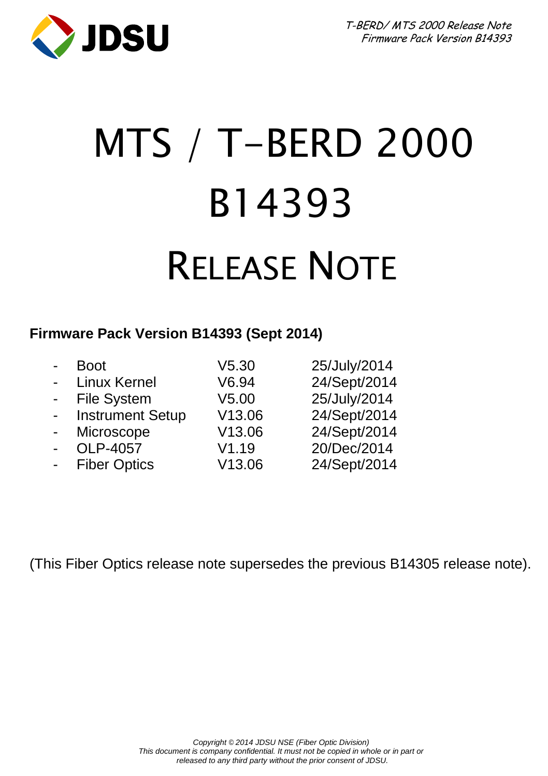

# MTS / T-BERD 2000 B14393 RELEASE NOTE

### **Firmware Pack Version B14393 (Sept 2014)**

| $\blacksquare$ | <b>Boot</b>             | V5.30  | 25/July/2014 |
|----------------|-------------------------|--------|--------------|
| $\blacksquare$ | <b>Linux Kernel</b>     | V6.94  | 24/Sept/2014 |
| $\sim$         | <b>File System</b>      | V5.00  | 25/July/2014 |
| $\blacksquare$ | <b>Instrument Setup</b> | V13.06 | 24/Sept/2014 |
| $\blacksquare$ | Microscope              | V13.06 | 24/Sept/2014 |
| $\blacksquare$ | OLP-4057                | V1.19  | 20/Dec/2014  |
| $\blacksquare$ | <b>Fiber Optics</b>     | V13.06 | 24/Sept/2014 |

(This Fiber Optics release note supersedes the previous B14305 release note).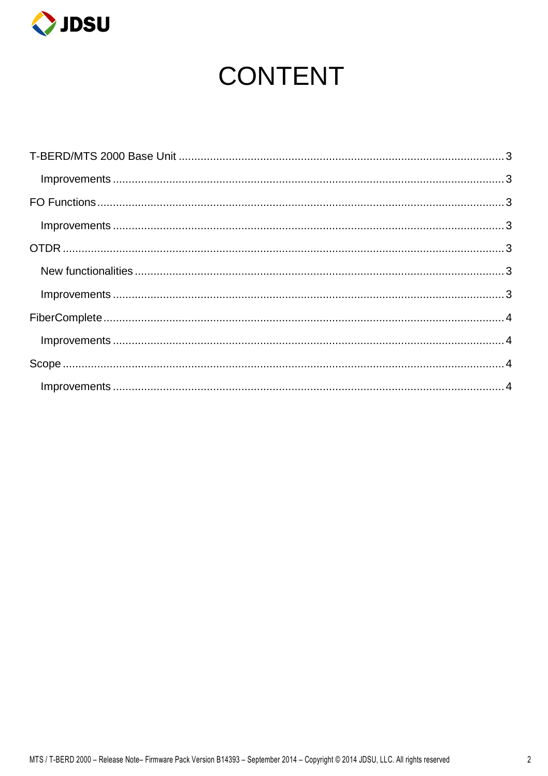

## **CONTENT**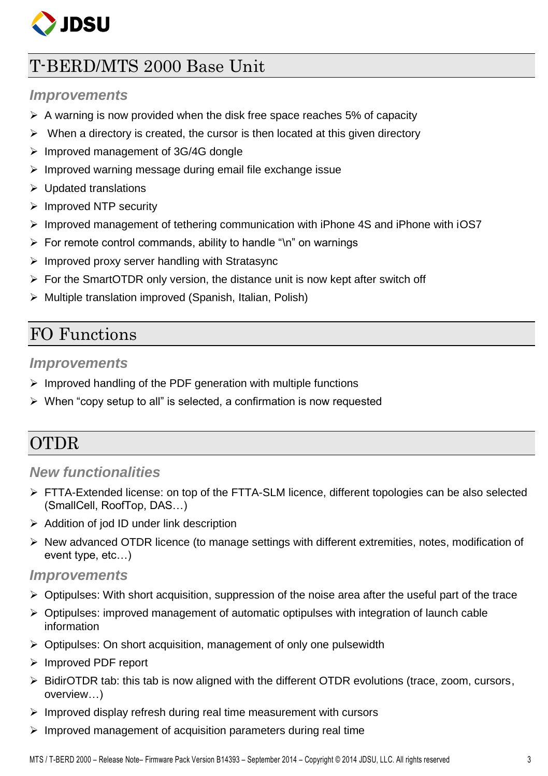

## <span id="page-2-0"></span>T-BERD/MTS 2000 Base Unit

#### <span id="page-2-1"></span>*Improvements*

- $\triangleright$  A warning is now provided when the disk free space reaches 5% of capacity
- $\triangleright$  When a directory is created, the cursor is then located at this given directory
- $\triangleright$  Improved management of 3G/4G dongle
- $\triangleright$  Improved warning message during email file exchange issue
- $\triangleright$  Updated translations
- $\triangleright$  Improved NTP security
- $\triangleright$  Improved management of tethering communication with iPhone 4S and iPhone with iOS7
- $\triangleright$  For remote control commands, ability to handle "\n" on warnings
- $\triangleright$  Improved proxy server handling with Stratasync
- $\triangleright$  For the SmartOTDR only version, the distance unit is now kept after switch off
- $\triangleright$  Multiple translation improved (Spanish, Italian, Polish)

## <span id="page-2-2"></span>FO Functions

#### <span id="page-2-3"></span>*Improvements*

- $\triangleright$  Improved handling of the PDF generation with multiple functions
- $\triangleright$  When "copy setup to all" is selected, a confirmation is now requested

## <span id="page-2-4"></span>OTDR

#### <span id="page-2-5"></span>*New functionalities*

- ▶ FTTA-Extended license: on top of the FTTA-SLM licence, different topologies can be also selected (SmallCell, RoofTop, DAS…)
- $\triangleright$  Addition of jod ID under link description
- $\triangleright$  New advanced OTDR licence (to manage settings with different extremities, notes, modification of event type, etc…)

#### <span id="page-2-6"></span>*Improvements*

- $\triangleright$  Optipulses: With short acquisition, suppression of the noise area after the useful part of the trace
- $\triangleright$  Optipulses: improved management of automatic optipulses with integration of launch cable information
- $\triangleright$  Optipulses: On short acquisition, management of only one pulsewidth
- Improved PDF report
- $\triangleright$  BidirOTDR tab: this tab is now aligned with the different OTDR evolutions (trace, zoom, cursors, overview…)
- $\triangleright$  Improved display refresh during real time measurement with cursors
- $\triangleright$  Improved management of acquisition parameters during real time